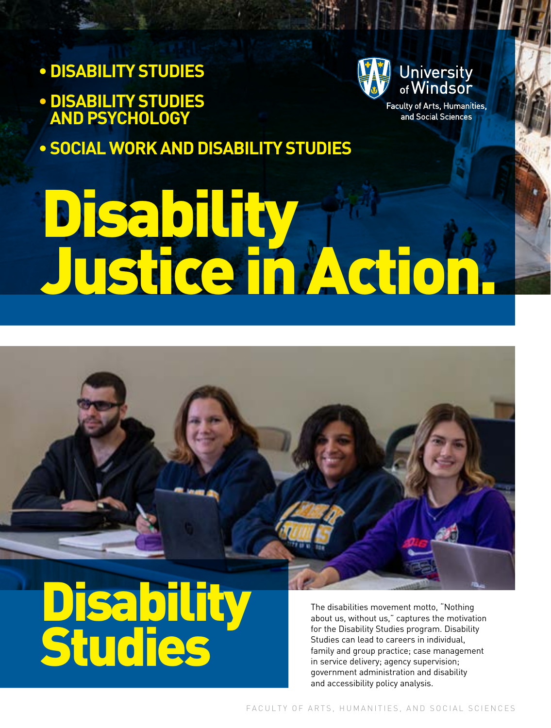- **DISABILITY STUDIES**
- **•DISABILITY STUDIES AND PSYCHOLOGY**

**• SOCIAL WORK AND DISABILITY STUDIES**



Faculty of Arts, Humanities, and Social Sciences

# Disability Justice in Action.

**Disability** Studies

The disabilities movement motto, "Nothing about us, without us," captures the motivation for the Disability Studies program. Disability Studies can lead to careers in individual, family and group practice; case management in service delivery; agency supervision; government administration and disability and accessibility policy analysis.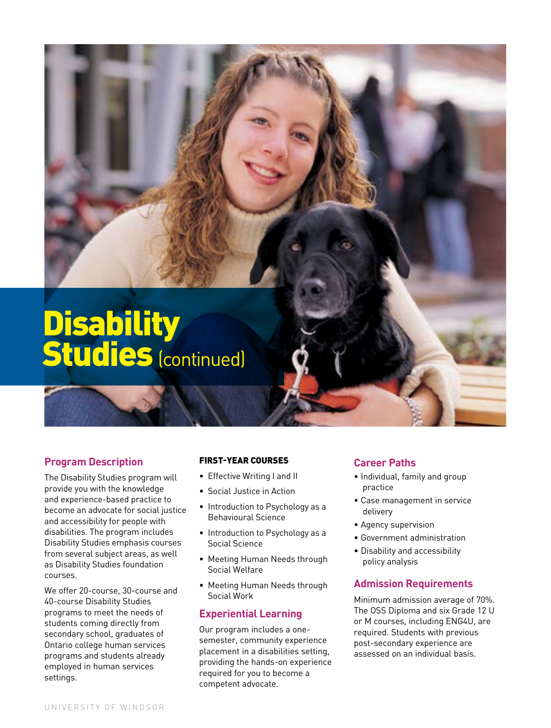### **Disability** Studies (continued)

### **Program Description**

The Disability Studies program will provide you with the knowledge and experience-based practice to become an advocate for social justice and accessibility for people with disabilities. The program includes Disability Studies emphasis courses from several subject areas, as well as Disability Studies foundation courses.

We offer 20-course, 30-course and 40-course Disability Studies programs to meet the needs of students coming directly from secondary school, graduates of Ontario college human services programs and students already employed in human services settings.

#### FIRST-YEAR COURSES

- Effective Writing I and II
- Social Justice in Action
- Introduction to Psychology as a Behavioural Science
- Introduction to Psychology as a Social Science
- Meeting Human Needs through Social Welfare
- Meeting Human Needs through Social Work

### **Experiential Learning**

Our program includes a onesemester, community experience placement in a disabilities setting, providing the hands-on experience required for you to become a competent advocate.

### **Career Paths**

- Individual, family and group practice
- Case management in service delivery
- Agency supervision
- Government administration
- Disability and accessibility policy analysis

### **Admission Requirements**

Minimum admission average of 70%. The OSS Diploma and six Grade 12 U or M courses, including ENG4U, are required. Students with previous post-secondary experience are assessed on an individual basis.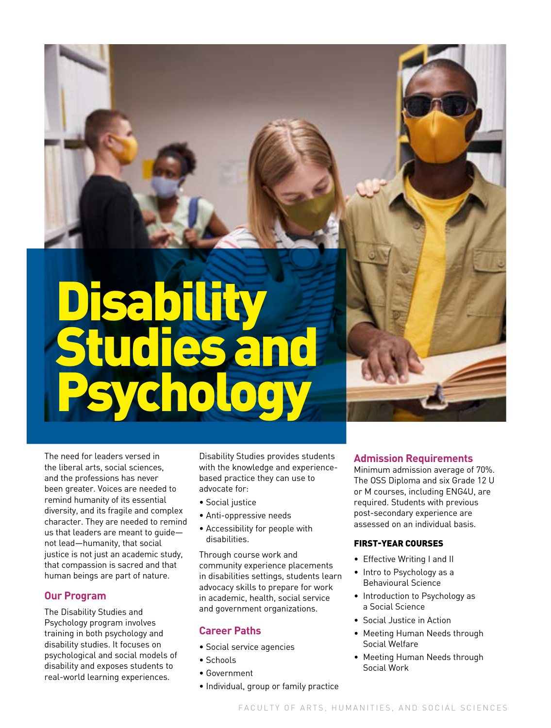## Disability Studies and Psychology

The need for leaders versed in the liberal arts, social sciences, and the professions has never been greater. Voices are needed to remind humanity of its essential diversity, and its fragile and complex character. They are needed to remind us that leaders are meant to guide not lead—humanity, that social justice is not just an academic study, that compassion is sacred and that human beings are part of nature.

### **Our Program**

The Disability Studies and Psychology program involves training in both psychology and disability studies. It focuses on psychological and social models of disability and exposes students to real-world learning experiences.

Disability Studies provides students with the knowledge and experiencebased practice they can use to advocate for:

- Social justice
- Anti-oppressive needs
- Accessibility for people with disabilities.

Through course work and community experience placements in disabilities settings, students learn advocacy skills to prepare for work in academic, health, social service and government organizations.

### **Career Paths**

- Social service agencies
- Schools
- Government
- Individual, group or family practice

### **Admission Requirements**

Minimum admission average of 70%. The OSS Diploma and six Grade 12 U or M courses, including ENG4U, are required. Students with previous post-secondary experience are assessed on an individual basis.

### FIRST-YEAR COURSES

- Effective Writing I and II
- Intro to Psychology as a Behavioural Science
- Introduction to Psychology as a Social Science
- Social Justice in Action
- Meeting Human Needs through Social Welfare
- Meeting Human Needs through Social Work